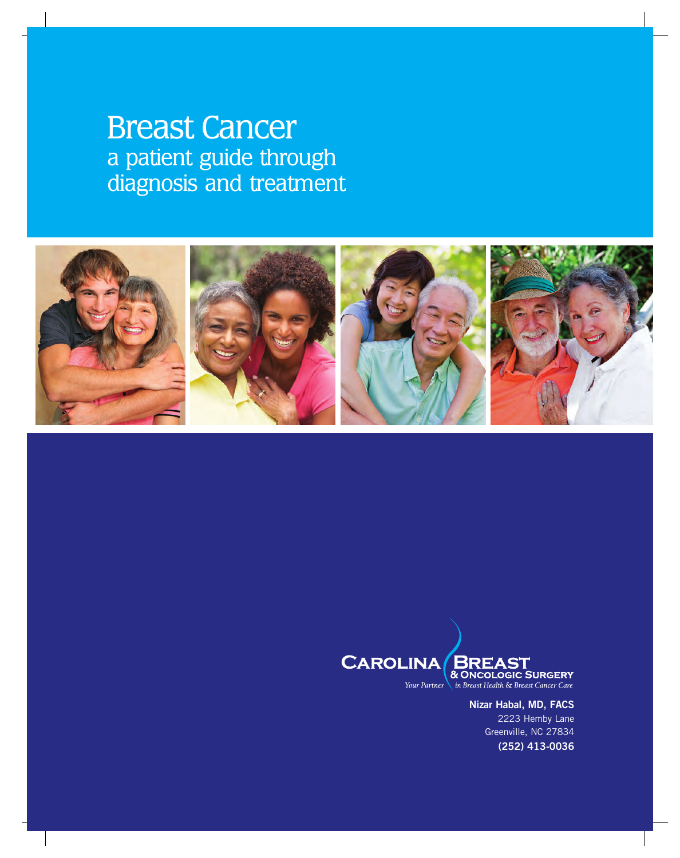# Breast Cancer a patient guide through diagnosis and treatment





**Nizar Habal, MD, FACS** 2223 Hemby Lane Greenville, NC 27834 **(252) 413-0036**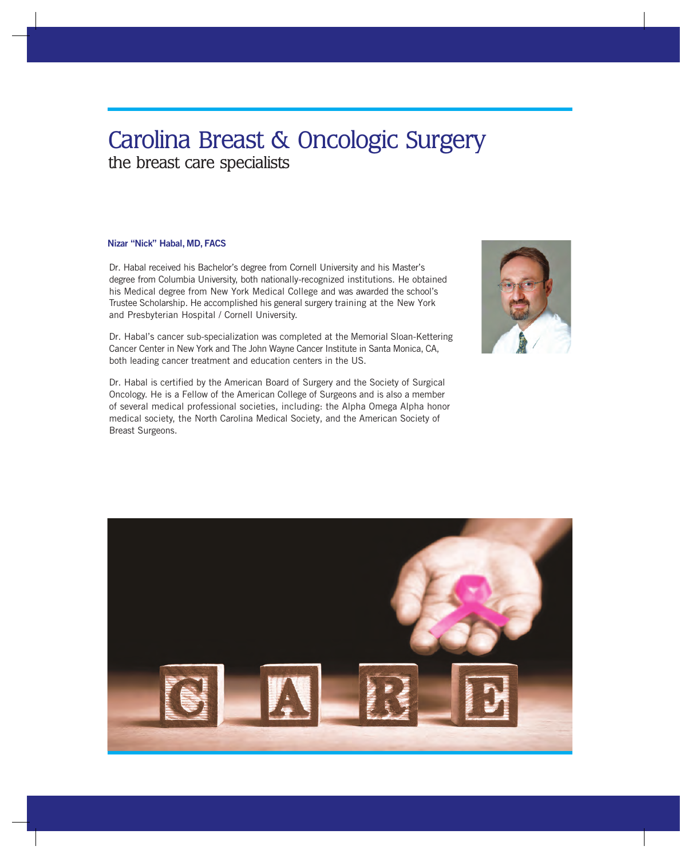# Carolina Breast & Oncologic Surgery the breast care specialists

#### **Nizar "Nick" Habal, MD, FACS**

Dr. Habal received his Bachelor's degree from Cornell University and his Master's degree from Columbia University, both nationally-recognized institutions. He obtained his Medical degree from New York Medical College and was awarded the school's Trustee Scholarship. He accomplished his general surgery training at the New York and Presbyterian Hospital / Cornell University.

Dr. Habal's cancer sub-specialization was completed at the Memorial Sloan-Kettering Cancer Center in New York and The John Wayne Cancer Institute in Santa Monica, CA, both leading cancer treatment and education centers in the US.

Dr. Habal is certified by the American Board of Surgery and the Society of Surgical Oncology. He is a Fellow of the American College of Surgeons and is also a member of several medical professional societies, including: the Alpha Omega Alpha honor medical society, the North Carolina Medical Society, and the American Society of Breast Surgeons.



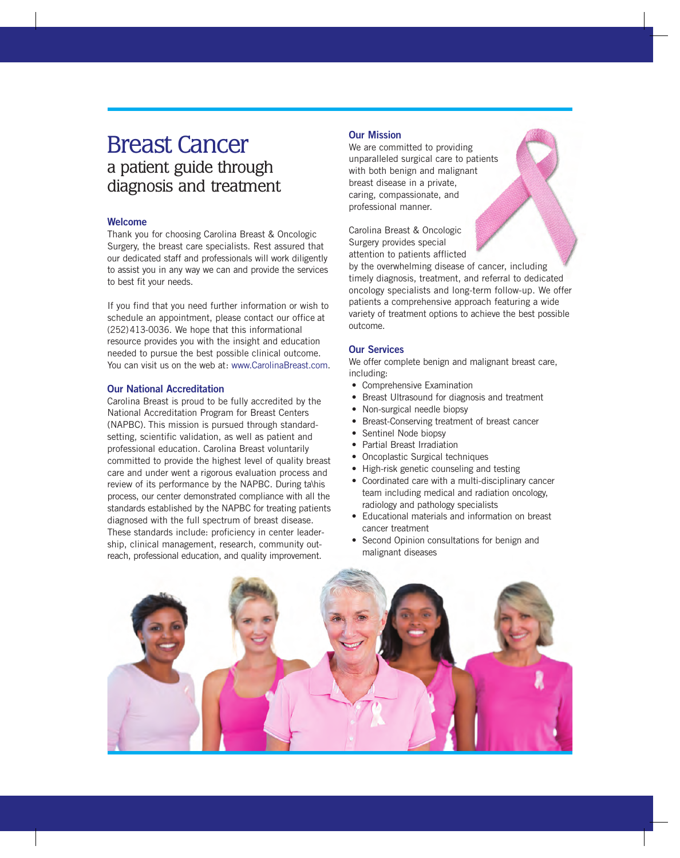# Breast Cancer a patient guide through diagnosis and treatment

#### **Welcome**

Thank you for choosing Carolina Breast & Oncologic Surgery, the breast care specialists. Rest assured that our dedicated staff and professionals will work diligently to assist you in any way we can and provide the services to best fit your needs.

If you find that you need further information or wish to schedule an appointment, please contact our office at (252)413-0036. We hope that this informational resource provides you with the insight and education needed to pursue the best possible clinical outcome. You can visit us on the web at: www.CarolinaBreast.com.

#### **Our National Accreditation**

Carolina Breast is proud to be fully accredited by the National Accreditation Program for Breast Centers (NAPBC). This mission is pursued through standardsetting, scientific validation, as well as patient and professional education. Carolina Breast voluntarily committed to provide the highest level of quality breast care and under went a rigorous evaluation process and review of its performance by the NAPBC. During ta\his process, our center demonstrated compliance with all the standards established by the NAPBC for treating patients diagnosed with the full spectrum of breast disease. These standards include: proficiency in center leadership, clinical management, research, community outreach, professional education, and quality improvement.

#### **Our Mission**

We are committed to providing unparalleled surgical care to patients with both benign and malignant breast disease in a private, caring, compassionate, and professional manner.

Carolina Breast & Oncologic Surgery provides special attention to patients afflicted

by the overwhelming disease of cancer, including timely diagnosis, treatment, and referral to dedicated oncology specialists and long-term follow-up. We offer patients a comprehensive approach featuring a wide variety of treatment options to achieve the best possible outcome.

#### **Our Services**

We offer complete benign and malignant breast care, including:

- Comprehensive Examination
- Breast Ultrasound for diagnosis and treatment
- Non-surgical needle biopsy
- Breast-Conserving treatment of breast cancer
- Sentinel Node biopsy
- Partial Breast Irradiation
- Oncoplastic Surgical techniques
- High-risk genetic counseling and testing
- Coordinated care with a multi-disciplinary cancer team including medical and radiation oncology, radiology and pathology specialists
- Educational materials and information on breast cancer treatment
- Second Opinion consultations for benign and malignant diseases

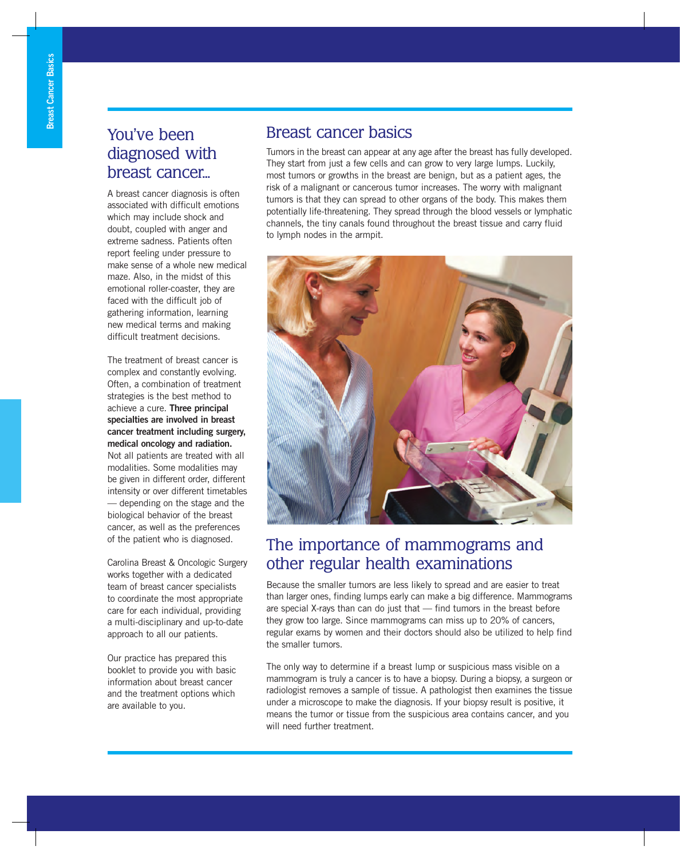# You've been diagnosed with breast cancer...

A breast cancer diagnosis is often associated with difficult emotions which may include shock and doubt, coupled with anger and extreme sadness. Patients often report feeling under pressure to make sense of a whole new medical maze. Also, in the midst of this emotional roller-coaster, they are faced with the difficult job of gathering information, learning new medical terms and making difficult treatment decisions.

The treatment of breast cancer is complex and constantly evolving. Often, a combination of treatment strategies is the best method to achieve a cure. **Three principal specialties are involved in breast cancer treatment including surgery, medical oncology and radiation.** Not all patients are treated with all modalities. Some modalities may be given in different order, different intensity or over different timetables — depending on the stage and the biological behavior of the breast cancer, as well as the preferences of the patient who is diagnosed.

Carolina Breast & Oncologic Surgery works together with a dedicated team of breast cancer specialists to coordinate the most appropriate care for each individual, providing a multi-disciplinary and up-to-date approach to all our patients.

Our practice has prepared this booklet to provide you with basic information about breast cancer and the treatment options which are available to you.

### Breast cancer basics

Tumors in the breast can appear at any age after the breast has fully developed. They start from just a few cells and can grow to very large lumps. Luckily, most tumors or growths in the breast are benign, but as a patient ages, the risk of a malignant or cancerous tumor increases. The worry with malignant tumors is that they can spread to other organs of the body. This makes them potentially life-threatening. They spread through the blood vessels or lymphatic channels, the tiny canals found throughout the breast tissue and carry fluid to lymph nodes in the armpit.



## The importance of mammograms and other regular health examinations

Because the smaller tumors are less likely to spread and are easier to treat than larger ones, finding lumps early can make a big difference. Mammograms are special X-rays than can do just that — find tumors in the breast before they grow too large. Since mammograms can miss up to 20% of cancers, regular exams by women and their doctors should also be utilized to help find the smaller tumors.

The only way to determine if a breast lump or suspicious mass visible on a mammogram is truly a cancer is to have a biopsy. During a biopsy, a surgeon or radiologist removes a sample of tissue. A pathologist then examines the tissue under a microscope to make the diagnosis. If your biopsy result is positive, it means the tumor or tissue from the suspicious area contains cancer, and you will need further treatment.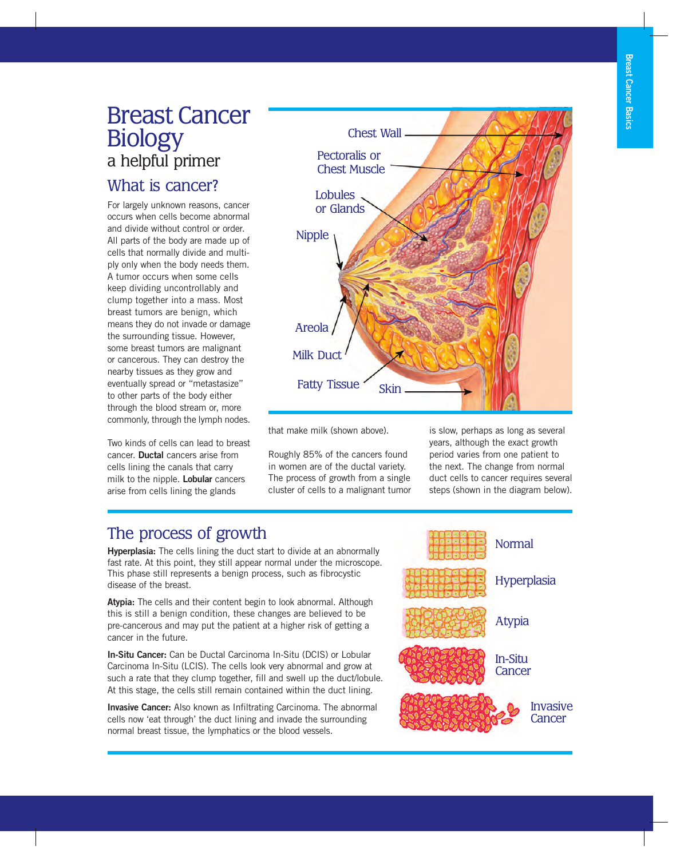# Breast Cancer Biology a helpful primer

## What is cancer?

For largely unknown reasons, cancer occurs when cells become abnormal and divide without control or order. All parts of the body are made up of cells that normally divide and multiply only when the body needs them. A tumor occurs when some cells keep dividing uncontrollably and clump together into a mass. Most breast tumors are benign, which means they do not invade or damage the surrounding tissue. However, some breast tumors are malignant or cancerous. They can destroy the nearby tissues as they grow and eventually spread or "metastasize" to other parts of the body either through the blood stream or, more commonly, through the lymph nodes.

Two kinds of cells can lead to breast cancer. **Ductal** cancers arise from cells lining the canals that carry milk to the nipple. **Lobular** cancers arise from cells lining the glands



that make milk (shown above).

Roughly 85% of the cancers found in women are of the ductal variety. The process of growth from a single cluster of cells to a malignant tumor is slow, perhaps as long as several years, although the exact growth period varies from one patient to the next. The change from normal duct cells to cancer requires several steps (shown in the diagram below).

# The process of growth

**Hyperplasia:** The cells lining the duct start to divide at an abnormally fast rate. At this point, they still appear normal under the microscope. This phase still represents a benign process, such as fibrocystic disease of the breast.

**Atypia:** The cells and their content begin to look abnormal. Although this is still a benign condition, these changes are believed to be pre-cancerous and may put the patient at a higher risk of getting a cancer in the future.

**In-Situ Cancer:** Can be Ductal Carcinoma In-Situ (DCIS) or Lobular Carcinoma In-Situ (LCIS). The cells look very abnormal and grow at such a rate that they clump together, fill and swell up the duct/lobule. At this stage, the cells still remain contained within the duct lining.

**Invasive Cancer:** Also known as Infiltrating Carcinoma. The abnormal cells now 'eat through' the duct lining and invade the surrounding normal breast tissue, the lymphatics or the blood vessels.

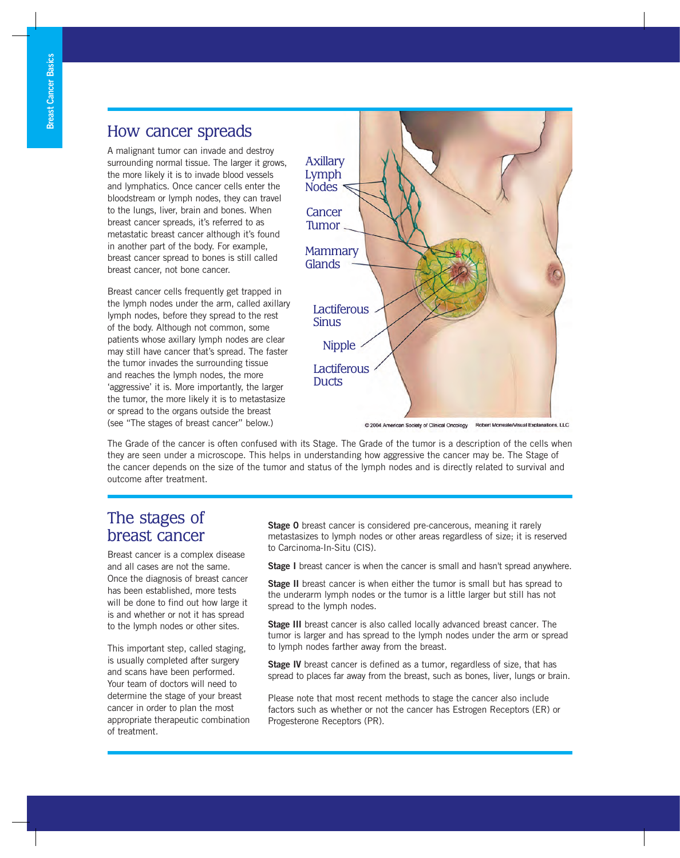### How cancer spreads

A malignant tumor can invade and destroy surrounding normal tissue. The larger it grows, the more likely it is to invade blood vessels and lymphatics. Once cancer cells enter the bloodstream or lymph nodes, they can travel to the lungs, liver, brain and bones. When breast cancer spreads, it's referred to as metastatic breast cancer although it's found in another part of the body. For example, breast cancer spread to bones is still called breast cancer, not bone cancer.

Breast cancer cells frequently get trapped in the lymph nodes under the arm, called axillary lymph nodes, before they spread to the rest of the body. Although not common, some patients whose axillary lymph nodes are clear may still have cancer that's spread. The faster the tumor invades the surrounding tissue and reaches the lymph nodes, the more 'aggressive' it is. More importantly, the larger the tumor, the more likely it is to metastasize or spread to the organs outside the breast (see "The stages of breast cancer" below.)



@ 2004 American Society of Clinical Oncology Robert Morreale/Visual Explanations, LLC

The Grade of the cancer is often confused with its Stage. The Grade of the tumor is a description of the cells when they are seen under a microscope. This helps in understanding how aggressive the cancer may be. The Stage of the cancer depends on the size of the tumor and status of the lymph nodes and is directly related to survival and outcome after treatment.

### The stages of breast cancer

Breast cancer is a complex disease and all cases are not the same. Once the diagnosis of breast cancer has been established, more tests will be done to find out how large it is and whether or not it has spread to the lymph nodes or other sites.

This important step, called staging, is usually completed after surgery and scans have been performed. Your team of doctors will need to determine the stage of your breast cancer in order to plan the most appropriate therapeutic combination of treatment.

**Stage 0** breast cancer is considered pre-cancerous, meaning it rarely metastasizes to lymph nodes or other areas regardless of size; it is reserved to Carcinoma-In-Situ (CIS).

**Stage I** breast cancer is when the cancer is small and hasn't spread anywhere.

**Stage II** breast cancer is when either the tumor is small but has spread to the underarm lymph nodes or the tumor is a little larger but still has not spread to the lymph nodes.

**Stage III** breast cancer is also called locally advanced breast cancer. The tumor is larger and has spread to the lymph nodes under the arm or spread to lymph nodes farther away from the breast.

**Stage IV** breast cancer is defined as a tumor, regardless of size, that has spread to places far away from the breast, such as bones, liver, lungs or brain.

Please note that most recent methods to stage the cancer also include factors such as whether or not the cancer has Estrogen Receptors (ER) or Progesterone Receptors (PR).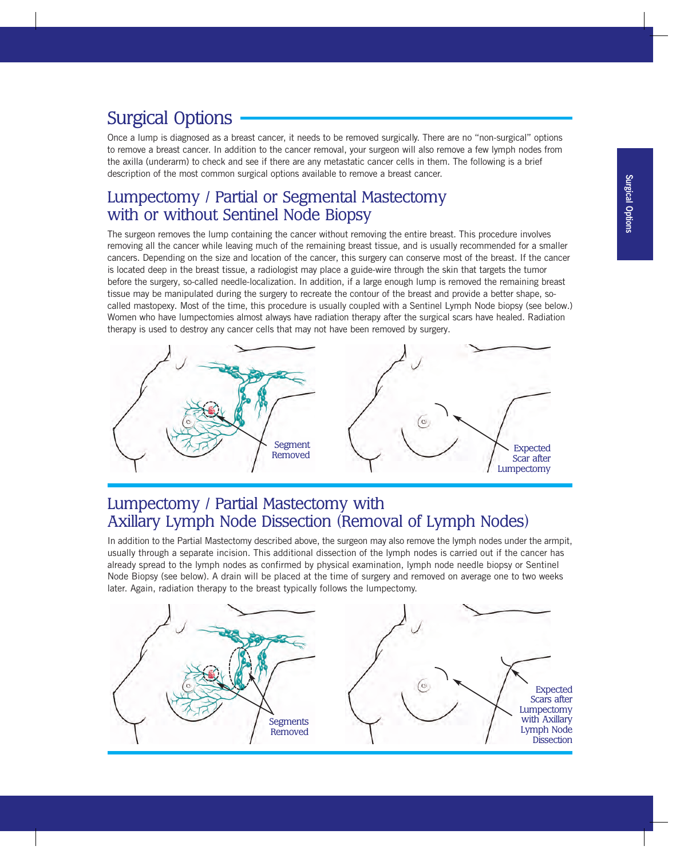# Surgical Options

Once a lump is diagnosed as a breast cancer, it needs to be removed surgically. There are no "non-surgical" options to remove a breast cancer. In addition to the cancer removal, your surgeon will also remove a few lymph nodes from the axilla (underarm) to check and see if there are any metastatic cancer cells in them. The following is a brief description of the most common surgical options available to remove a breast cancer.

## Lumpectomy / Partial or Segmental Mastectomy with or without Sentinel Node Biopsy

The surgeon removes the lump containing the cancer without removing the entire breast. This procedure involves removing all the cancer while leaving much of the remaining breast tissue, and is usually recommended for a smaller cancers. Depending on the size and location of the cancer, this surgery can conserve most of the breast. If the cancer is located deep in the breast tissue, a radiologist may place a guide-wire through the skin that targets the tumor before the surgery, so-called needle-localization. In addition, if a large enough lump is removed the remaining breast tissue may be manipulated during the surgery to recreate the contour of the breast and provide a better shape, socalled mastopexy. Most of the time, this procedure is usually coupled with a Sentinel Lymph Node biopsy (see below.) Women who have lumpectomies almost always have radiation therapy after the surgical scars have healed. Radiation therapy is used to destroy any cancer cells that may not have been removed by surgery.



## Lumpectomy / Partial Mastectomy with Axillary Lymph Node Dissection (Removal of Lymph Nodes)

In addition to the Partial Mastectomy described above, the surgeon may also remove the lymph nodes under the armpit, usually through a separate incision. This additional dissection of the lymph nodes is carried out if the cancer has already spread to the lymph nodes as confirmed by physical examination, lymph node needle biopsy or Sentinel Node Biopsy (see below). A drain will be placed at the time of surgery and removed on average one to two weeks later. Again, radiation therapy to the breast typically follows the lumpectomy.

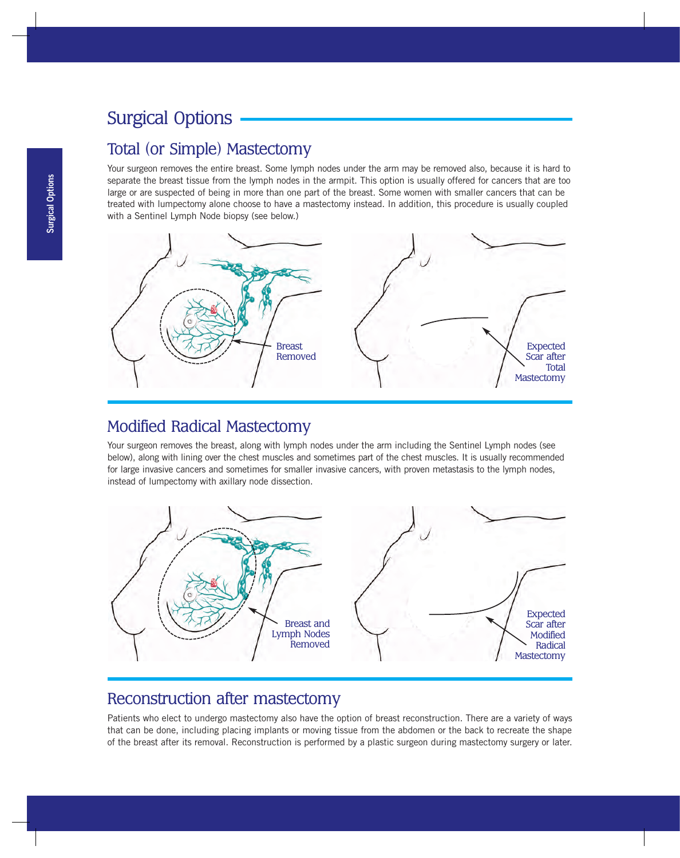# Surgical Options

### Total (or Simple) Mastectomy

Your surgeon removes the entire breast. Some lymph nodes under the arm may be removed also, because it is hard to separate the breast tissue from the lymph nodes in the armpit. This option is usually offered for cancers that are too large or are suspected of being in more than one part of the breast. Some women with smaller cancers that can be treated with lumpectomy alone choose to have a mastectomy instead. In addition, this procedure is usually coupled with a Sentinel Lymph Node biopsy (see below.)



### Modified Radical Mastectomy

Your surgeon removes the breast, along with lymph nodes under the arm including the Sentinel Lymph nodes (see below), along with lining over the chest muscles and sometimes part of the chest muscles. It is usually recommended for large invasive cancers and sometimes for smaller invasive cancers, with proven metastasis to the lymph nodes, instead of lumpectomy with axillary node dissection.



## Reconstruction after mastectomy

Patients who elect to undergo mastectomy also have the option of breast reconstruction. There are a variety of ways that can be done, including placing implants or moving tissue from the abdomen or the back to recreate the shape of the breast after its removal. Reconstruction is performed by a plastic surgeon during mastectomy surgery or later.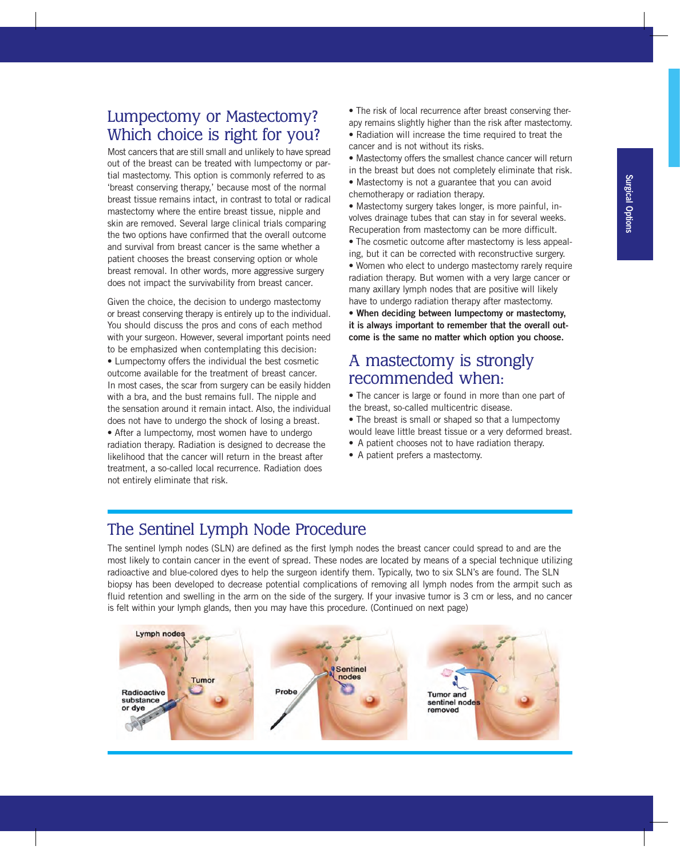## Lumpectomy or Mastectomy? Which choice is right for you?

Most cancers that are still small and unlikely to have spread out of the breast can be treated with lumpectomy or partial mastectomy. This option is commonly referred to as 'breast conserving therapy,' because most of the normal breast tissue remains intact, in contrast to total or radical mastectomy where the entire breast tissue, nipple and skin are removed. Several large clinical trials comparing the two options have confirmed that the overall outcome and survival from breast cancer is the same whether a patient chooses the breast conserving option or whole breast removal. In other words, more aggressive surgery does not impact the survivability from breast cancer.

Given the choice, the decision to undergo mastectomy or breast conserving therapy is entirely up to the individual. You should discuss the pros and cons of each method with your surgeon. However, several important points need to be emphasized when contemplating this decision: • Lumpectomy offers the individual the best cosmetic outcome available for the treatment of breast cancer. In most cases, the scar from surgery can be easily hidden with a bra, and the bust remains full. The nipple and the sensation around it remain intact. Also, the individual does not have to undergo the shock of losing a breast. • After a lumpectomy, most women have to undergo radiation therapy. Radiation is designed to decrease the likelihood that the cancer will return in the breast after treatment, a so-called local recurrence. Radiation does not entirely eliminate that risk.

- The risk of local recurrence after breast conserving therapy remains slightly higher than the risk after mastectomy. • Radiation will increase the time required to treat the
- cancer and is not without its risks. • Mastectomy offers the smallest chance cancer will return
- in the breast but does not completely eliminate that risk.
- Mastectomy is not a guarantee that you can avoid chemotherapy or radiation therapy.
- Mastectomy surgery takes longer, is more painful, involves drainage tubes that can stay in for several weeks. Recuperation from mastectomy can be more difficult.
- The cosmetic outcome after mastectomy is less appealing, but it can be corrected with reconstructive surgery.
- Women who elect to undergo mastectomy rarely require radiation therapy. But women with a very large cancer or many axillary lymph nodes that are positive will likely have to undergo radiation therapy after mastectomy.

• **When deciding between lumpectomy or mastectomy, it is always important to remember that the overall outcome is the same no matter which option you choose.**

### A mastectomy is strongly recommended when:

• The cancer is large or found in more than one part of the breast, so-called multicentric disease.

- The breast is small or shaped so that a lumpectomy would leave little breast tissue or a very deformed breast.
- A patient chooses not to have radiation therapy.
- A patient prefers a mastectomy.

## The Sentinel Lymph Node Procedure

The sentinel lymph nodes (SLN) are defined as the first lymph nodes the breast cancer could spread to and are the most likely to contain cancer in the event of spread. These nodes are located by means of a special technique utilizing radioactive and blue-colored dyes to help the surgeon identify them. Typically, two to six SLN's are found. The SLN biopsy has been developed to decrease potential complications of removing all lymph nodes from the armpit such as fluid retention and swelling in the arm on the side of the surgery. If your invasive tumor is 3 cm or less, and no cancer is felt within your lymph glands, then you may have this procedure. (Continued on next page)

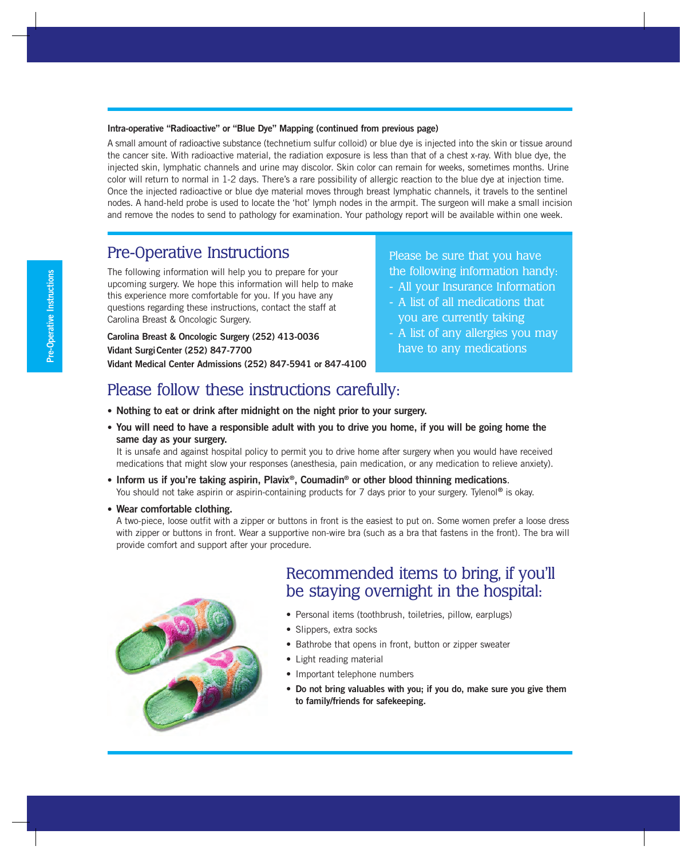#### **Intra-operative "Radioactive" or "Blue Dye" Mapping (continued from previous page)**

A small amount of radioactive substance (technetium sulfur colloid) or blue dye is injected into the skin or tissue around the cancer site. With radioactive material, the radiation exposure is less than that of a chest x-ray. With blue dye, the injected skin, lymphatic channels and urine may discolor. Skin color can remain for weeks, sometimes months. Urine color will return to normal in 1-2 days. There's a rare possibility of allergic reaction to the blue dye at injection time. Once the injected radioactive or blue dye material moves through breast lymphatic channels, it travels to the sentinel nodes. A hand-held probe is used to locate the 'hot' lymph nodes in the armpit. The surgeon will make a small incision and remove the nodes to send to pathology for examination. Your pathology report will be available within one week.

### Pre-Operative Instructions

The following information will help you to prepare for your upcoming surgery. We hope this information will help to make this experience more comfortable for you. If you have any questions regarding these instructions, contact the staff at Carolina Breast & Oncologic Surgery.

**Carolina Breast & Oncologic Surgery (252) 413-0036 Vidant SurgiCenter (252) 847-7700 Vidant Medical Center Admissions (252) 847-5941 or 847-4100**

#### Please be sure that you have the following information handy:

- All your Insurance Information
- A list of all medications that you are currently taking
- A list of any allergies you may have to any medications

### Please follow these instructions carefully:

- **Nothing to eat or drink after midnight on the night prior to your surgery.**
- **You will need to have a responsible adult with you to drive you home, if you will be going home the same day as your surgery.**

It is unsafe and against hospital policy to permit you to drive home after surgery when you would have received medications that might slow your responses (anesthesia, pain medication, or any medication to relieve anxiety).

- **Inform us if you're taking aspirin, Plavix®, Coumadin® or other blood thinning medications**. You should not take aspirin or aspirin-containing products for 7 days prior to your surgery. Tylenol**®** is okay.
- **Wear comfortable clothing.**

A two-piece, loose outfit with a zipper or buttons in front is the easiest to put on. Some women prefer a loose dress with zipper or buttons in front. Wear a supportive non-wire bra (such as a bra that fastens in the front). The bra will provide comfort and support after your procedure.



# Recommended items to bring, if you'll be staying overnight in the hospital:

- Personal items (toothbrush, toiletries, pillow, earplugs)
- Slippers, extra socks
- Bathrobe that opens in front, button or zipper sweater
- Light reading material
- Important telephone numbers
- **Do not bring valuables with you; if you do, make sure you give them to family/friends for safekeeping.**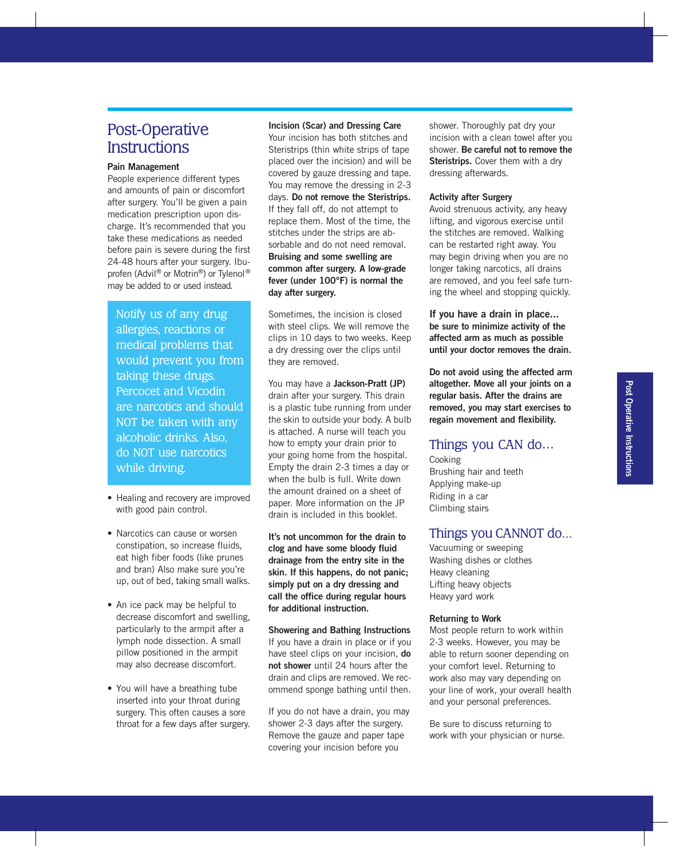### Post-Operative **Instructions**

#### **Pain Management**

People experience different types and amounts of pain or discomfort after surgery. You'll be given a pain medication prescription upon discharge. It's recommended that you take these medications as needed before pain is severe during the first 24-48 hours after your surgery. Ibuprofen (Advil<sup>®</sup> or Motrin<sup>®</sup>) or Tylenol<sup>®</sup> may be added to or used instead.

Notify us of any drug allergies, reactions or medical problems that would prevent you from taking these drugs. Percocet and Vicodin are narcotics and should NOT be taken with any alcoholic drinks. Also, do NOT use narcotics while driving.

- Healing and recovery are improved with good pain control.
- Narcotics can cause or worsen constipation, so increase fluids, eat high fiber foods (like prunes and bran) Also make sure you're up, out of bed, taking small walks.
- An ice pack may be helpful to decrease discomfort and swelling, particularly to the armpit after a lymph node dissection. A small pillow positioned in the armpit may also decrease discomfort.
- You will have a breathing tube inserted into your throat during surgery. This often causes a sore throat for a few days after surgery.

#### **Incision (Scar) and Dressing Care**

Your incision has both stitches and Steristrips (thin white strips of tape placed over the incision) and will be covered by gauze dressing and tape. You may remove the dressing in 2-3 days. **Do not remove the Steristrips.** If they fall off, do not attempt to replace them. Most of the time, the stitches under the strips are absorbable and do not need removal. **Bruising and some swelling are common after surgery. A low-grade fever (under 100ºF) is normal the day after surgery.**

Sometimes, the incision is closed with steel clips. We will remove the clips in 10 days to two weeks. Keep a dry dressing over the clips until they are removed.

You may have a **Jackson-Pratt (JP)** drain after your surgery. This drain is a plastic tube running from under the skin to outside your body. A bulb is attached. A nurse will teach you how to empty your drain prior to your going home from the hospital. Empty the drain 2-3 times a day or when the bulb is full. Write down the amount drained on a sheet of paper. More information on the JP drain is included in this booklet.

**It's not uncommon for the drain to clog and have some bloody fluid drainage from the entry site in the skin. If this happens, do not panic; simply put on a dry dressing and call the office during regular hours for additional instruction.**

**Showering and Bathing Instructions** If you have a drain in place or if you have steel clips on your incision, **do not shower** until 24 hours after the drain and clips are removed. We recommend sponge bathing until then.

If you do not have a drain, you may shower 2-3 days after the surgery. Remove the gauze and paper tape covering your incision before you

shower. Thoroughly pat dry your incision with a clean towel after you shower. **Be careful not to remove the Steristrips.** Cover them with a drv dressing afterwards.

#### **Activity after Surgery**

Avoid strenuous activity, any heavy lifting, and vigorous exercise until the stitches are removed. Walking can be restarted right away. You may begin driving when you are no longer taking narcotics, all drains are removed, and you feel safe turning the wheel and stopping quickly.

**If you have a drain in place... be sure to minimize activity of the affected arm as much as possible until your doctor removes the drain.**

**Do not avoid using the affected arm altogether. Move all your joints on a regular basis. After the drains are removed, you may start exercises to regain movement and flexibility.**

#### Things you CAN do...

Cooking Brushing hair and teeth Applying make-up Riding in a car Climbing stairs

#### Things you CANNOT do...

Vacuuming or sweeping Washing dishes or clothes Heavy cleaning Lifting heavy objects Heavy yard work

#### **Returning to Work**

Most people return to work within 2-3 weeks. However, you may be able to return sooner depending on your comfort level. Returning to work also may vary depending on your line of work, your overall health and your personal preferences.

Be sure to discuss returning to work with your physician or nurse.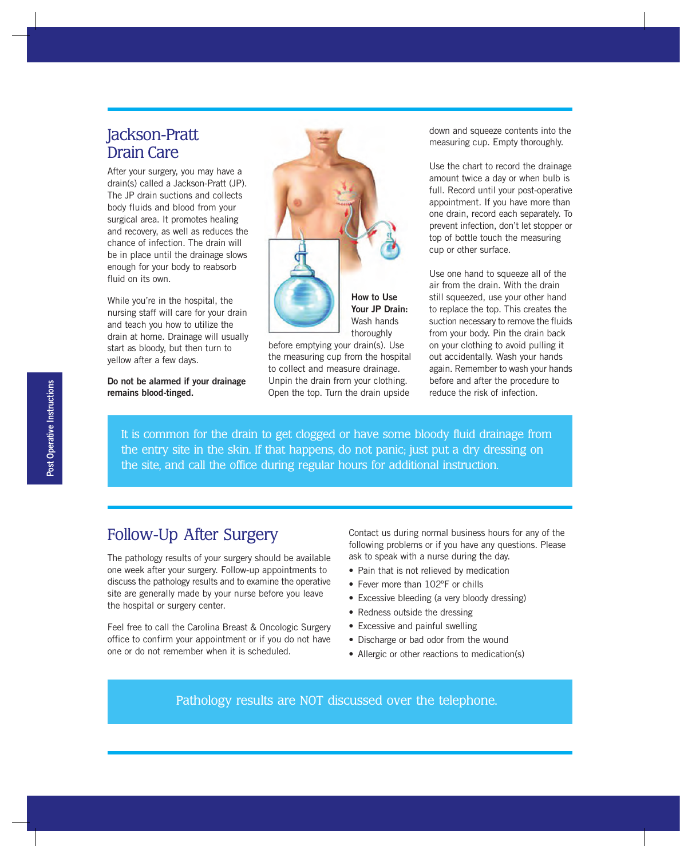## Jackson-Pratt Drain Care

After your surgery, you may have a drain(s) called a Jackson-Pratt (JP). The JP drain suctions and collects body fluids and blood from your surgical area. It promotes healing and recovery, as well as reduces the chance of infection. The drain will be in place until the drainage slows enough for your body to reabsorb fluid on its own.

While you're in the hospital, the nursing staff will care for your drain and teach you how to utilize the drain at home. Drainage will usually start as bloody, but then turn to yellow after a few days.

**Do not be alarmed if your drainage remains blood-tinged.**



**Your JP Drain:** thoroughly

before emptying your drain(s). Use the measuring cup from the hospital to collect and measure drainage. Unpin the drain from your clothing. Open the top. Turn the drain upside

down and squeeze contents into the measuring cup. Empty thoroughly.

Use the chart to record the drainage amount twice a day or when bulb is full. Record until your post-operative appointment. If you have more than one drain, record each separately. To prevent infection, don't let stopper or top of bottle touch the measuring cup or other surface.

Use one hand to squeeze all of the air from the drain. With the drain still squeezed, use your other hand to replace the top. This creates the suction necessary to remove the fluids from your body. Pin the drain back on your clothing to avoid pulling it out accidentally. Wash your hands again. Remember to wash your hands before and after the procedure to reduce the risk of infection.

It is common for the drain to get clogged or have some bloody fluid drainage from the entry site in the skin. If that happens, do not panic; just put a dry dressing on the site, and call the office during regular hours for additional instruction.

### Follow-Up After Surgery

The pathology results of your surgery should be available one week after your surgery. Follow-up appointments to discuss the pathology results and to examine the operative site are generally made by your nurse before you leave the hospital or surgery center.

Feel free to call the Carolina Breast & Oncologic Surgery office to confirm your appointment or if you do not have one or do not remember when it is scheduled.

Contact us during normal business hours for any of the following problems or if you have any questions. Please ask to speak with a nurse during the day.

- Pain that is not relieved by medication
- Fever more than 102°F or chills
- Excessive bleeding (a very bloody dressing)
- Redness outside the dressing
- Excessive and painful swelling
- Discharge or bad odor from the wound
- Allergic or other reactions to medication(s)

Pathology results are NOT discussed over the telephone.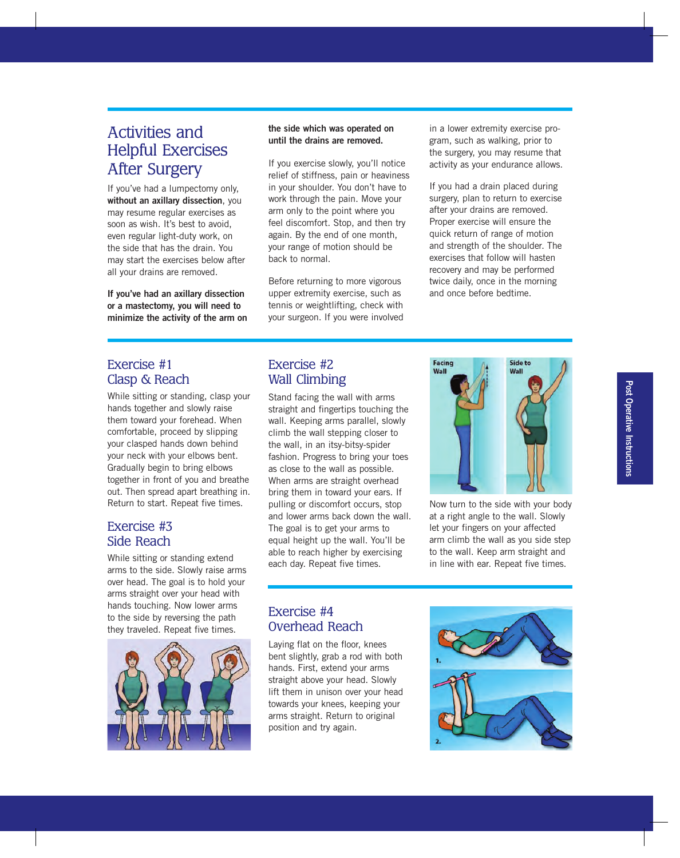## Activities and Helpful Exercises After Surgery

If you've had a lumpectomy only, **without an axillary dissection**, you may resume regular exercises as soon as wish. It's best to avoid, even regular light-duty work, on the side that has the drain. You may start the exercises below after all your drains are removed.

**If you've had an axillary dissection or a mastectomy, you will need to minimize the activity of the arm on**

#### **the side which was operated on until the drains are removed.**

If you exercise slowly, you'll notice relief of stiffness, pain or heaviness in your shoulder. You don't have to work through the pain. Move your arm only to the point where you feel discomfort. Stop, and then try again. By the end of one month, your range of motion should be back to normal.

Before returning to more vigorous upper extremity exercise, such as tennis or weightlifting, check with your surgeon. If you were involved in a lower extremity exercise program, such as walking, prior to the surgery, you may resume that activity as your endurance allows.

If you had a drain placed during surgery, plan to return to exercise after your drains are removed. Proper exercise will ensure the quick return of range of motion and strength of the shoulder. The exercises that follow will hasten recovery and may be performed twice daily, once in the morning and once before bedtime.

#### Exercise #1 Clasp & Reach

While sitting or standing, clasp your hands together and slowly raise them toward your forehead. When comfortable, proceed by slipping your clasped hands down behind your neck with your elbows bent. Gradually begin to bring elbows together in front of you and breathe out. Then spread apart breathing in. Return to start. Repeat five times.

#### Exercise #3 Side Reach

While sitting or standing extend arms to the side. Slowly raise arms over head. The goal is to hold your arms straight over your head with hands touching. Now lower arms to the side by reversing the path they traveled. Repeat five times.



#### Exercise #2 Wall Climbing

Stand facing the wall with arms straight and fingertips touching the wall. Keeping arms parallel, slowly climb the wall stepping closer to the wall, in an itsy-bitsy-spider fashion. Progress to bring your toes as close to the wall as possible. When arms are straight overhead bring them in toward your ears. If pulling or discomfort occurs, stop and lower arms back down the wall. The goal is to get your arms to equal height up the wall. You'll be able to reach higher by exercising each day. Repeat five times.



Now turn to the side with your body at a right angle to the wall. Slowly let your fingers on your affected arm climb the wall as you side step to the wall. Keep arm straight and in line with ear. Repeat five times.

#### Exercise #4 Overhead Reach

Laying flat on the floor, knees bent slightly, grab a rod with both hands. First, extend your arms straight above your head. Slowly lift them in unison over your head towards your knees, keeping your arms straight. Return to original position and try again.

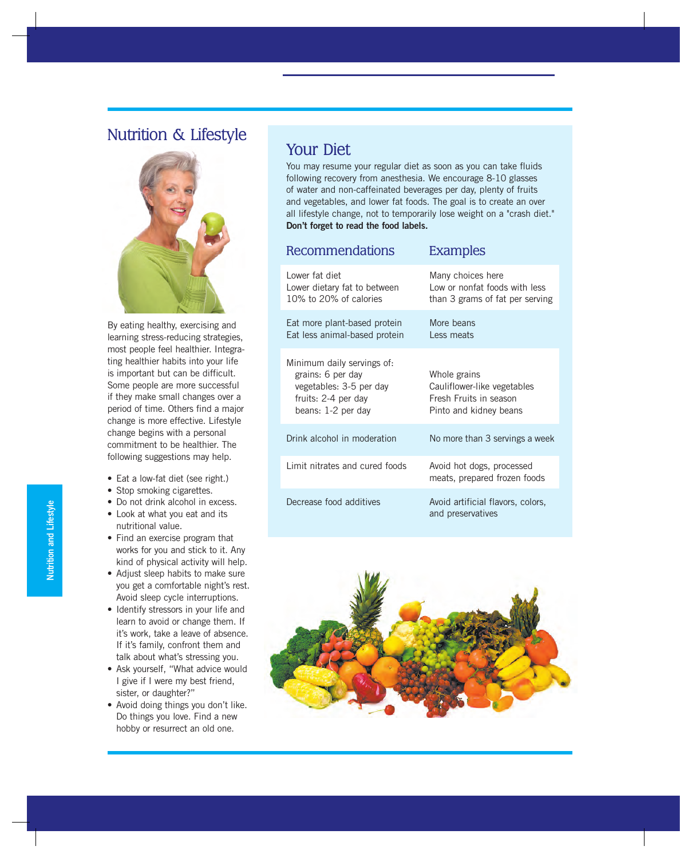# Nutrition & Lifestyle



By eating healthy, exercising and learning stress-reducing strategies, most people feel healthier. Integrating healthier habits into your life is important but can be difficult. Some people are more successful if they make small changes over a period of time. Others find a major change is more effective. Lifestyle change begins with a personal commitment to be healthier. The following suggestions may help.

- Eat a low-fat diet (see right.)
- Stop smoking cigarettes.
- Do not drink alcohol in excess.
- Look at what you eat and its nutritional value.
- Find an exercise program that works for you and stick to it. Any kind of physical activity will help.
- Adjust sleep habits to make sure you get a comfortable night's rest. Avoid sleep cycle interruptions.
- Identify stressors in your life and learn to avoid or change them. If it's work, take a leave of absence. If it's family, confront them and talk about what's stressing you.
- Ask yourself, "What advice would I give if I were my best friend, sister, or daughter?"
- Avoid doing things you don't like. Do things you love. Find a new hobby or resurrect an old one.

### Your Diet

You may resume your regular diet as soon as you can take fluids following recovery from anesthesia. We encourage 8-10 glasses of water and non-caffeinated beverages per day, plenty of fruits and vegetables, and lower fat foods. The goal is to create an over all lifestyle change, not to temporarily lose weight on a "crash diet." **Don't forget to read the food labels.**

Recommendations Examples

| 1 1000 11 11 11 10 11 10 11 10 1                                                                                        | <b>Example</b>                                                                                  |
|-------------------------------------------------------------------------------------------------------------------------|-------------------------------------------------------------------------------------------------|
| Lower fat diet<br>Lower dietary fat to between<br>10% to 20% of calories                                                | Many choices here<br>Low or nonfat foods with less<br>than 3 grams of fat per serving           |
| Eat more plant-based protein<br>Eat less animal-based protein                                                           | More beans<br>Less meats                                                                        |
| Minimum daily servings of:<br>grains: 6 per day<br>vegetables: 3-5 per day<br>fruits: 2-4 per day<br>beans: 1-2 per day | Whole grains<br>Cauliflower-like vegetables<br>Fresh Fruits in season<br>Pinto and kidney beans |
| Drink alcohol in moderation                                                                                             | No more than 3 servings a week                                                                  |
| Limit nitrates and cured foods                                                                                          | Avoid hot dogs, processed<br>meats, prepared frozen foods                                       |
| Decrease food additives                                                                                                 | Avoid artificial flavors, colors,<br>and preservatives                                          |

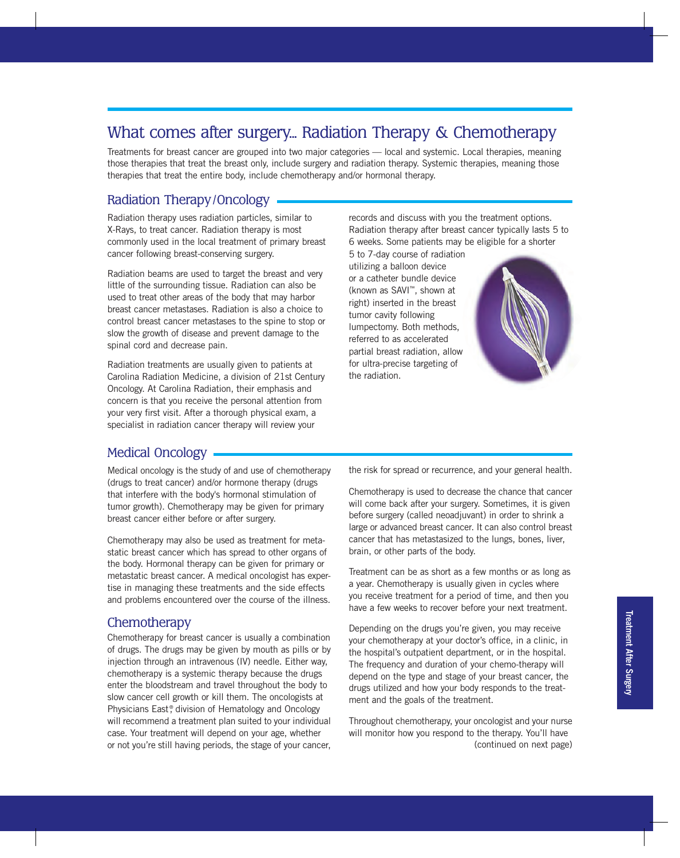## What comes after surgery... Radiation Therapy & Chemotherapy

Treatments for breast cancer are grouped into two major categories — local and systemic. Local therapies, meaning those therapies that treat the breast only, include surgery and radiation therapy. Systemic therapies, meaning those therapies that treat the entire body, include chemotherapy and/or hormonal therapy.

#### Radiation Therapy/Oncology

Radiation therapy uses radiation particles, similar to X-Rays, to treat cancer. Radiation therapy is most commonly used in the local treatment of primary breast cancer following breast-conserving surgery.

Radiation beams are used to target the breast and very little of the surrounding tissue. Radiation can also be used to treat other areas of the body that may harbor breast cancer metastases. Radiation is also a choice to control breast cancer metastases to the spine to stop or slow the growth of disease and prevent damage to the spinal cord and decrease pain.

Radiation treatments are usually given to patients at Carolina Radiation Medicine, a division of 21st Century Oncology. At Carolina Radiation, their emphasis and concern is that you receive the personal attention from your very first visit. After a thorough physical exam, a specialist in radiation cancer therapy will review your

records and discuss with you the treatment options. Radiation therapy after breast cancer typically lasts 5 to 6 weeks. Some patients may be eligible for a shorter

5 to 7-day course of radiation utilizing a balloon device or a catheter bundle device (known as SAVI™, shown at right) inserted in the breast tumor cavity following lumpectomy. Both methods, referred to as accelerated partial breast radiation, allow for ultra-precise targeting of the radiation.



#### Medical Oncology

Medical oncology is the study of and use of chemotherapy (drugs to treat cancer) and/or hormone therapy (drugs that interfere with the body's hormonal stimulation of tumor growth). Chemotherapy may be given for primary breast cancer either before or after surgery.

Chemotherapy may also be used as treatment for metastatic breast cancer which has spread to other organs of the body. Hormonal therapy can be given for primary or metastatic breast cancer. A medical oncologist has expertise in managing these treatments and the side effects and problems encountered over the course of the illness.

#### **Chemotherapy**

Chemotherapy for breast cancer is usually a combination of drugs. The drugs may be given by mouth as pills or by injection through an intravenous (IV) needle. Either way, chemotherapy is a systemic therapy because the drugs enter the bloodstream and travel throughout the body to slow cancer cell growth or kill them. The oncologists at Physicians East<sup>®</sup>, division of Hematology and Oncology will recommend a treatment plan suited to your individual case. Your treatment will depend on your age, whether or not you're still having periods, the stage of your cancer,

the risk for spread or recurrence, and your general health.

Chemotherapy is used to decrease the chance that cancer will come back after your surgery. Sometimes, it is given before surgery (called neoadjuvant) in order to shrink a large or advanced breast cancer. It can also control breast cancer that has metastasized to the lungs, bones, liver, brain, or other parts of the body.

Treatment can be as short as a few months or as long as a year. Chemotherapy is usually given in cycles where you receive treatment for a period of time, and then you have a few weeks to recover before your next treatment.

Depending on the drugs you're given, you may receive your chemotherapy at your doctor's office, in a clinic, in the hospital's outpatient department, or in the hospital. The frequency and duration of your chemo-therapy will depend on the type and stage of your breast cancer, the drugs utilized and how your body responds to the treatment and the goals of the treatment.

Throughout chemotherapy, your oncologist and your nurse will monitor how you respond to the therapy. You'll have (continued on next page)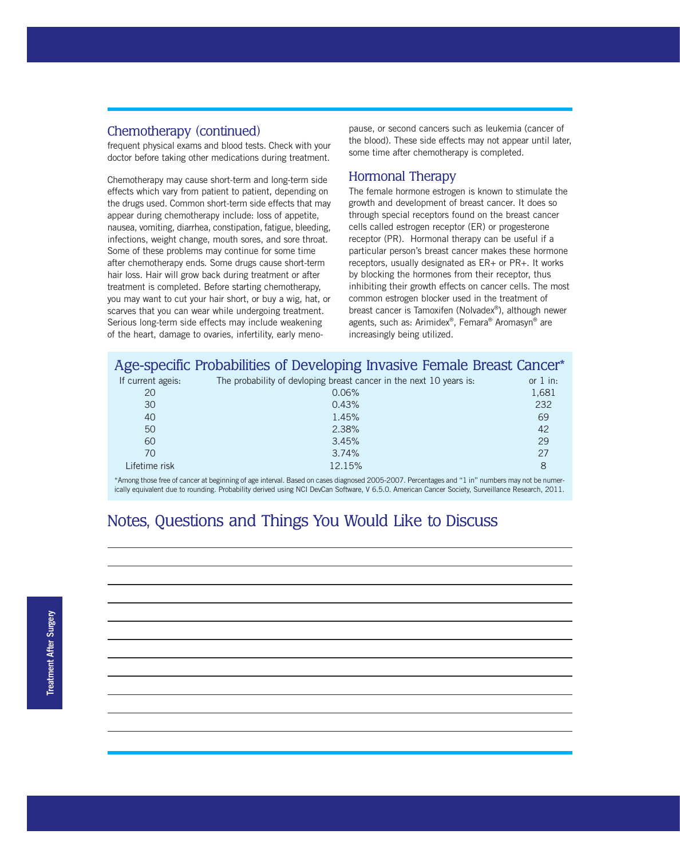#### Chemotherapy (continued)

frequent physical exams and blood tests. Check with your doctor before taking other medications during treatment.

Chemotherapy may cause short-term and long-term side effects which vary from patient to patient, depending on the drugs used. Common short-term side effects that may appear during chemotherapy include: loss of appetite, nausea, vomiting, diarrhea, constipation, fatigue, bleeding, infections, weight change, mouth sores, and sore throat. Some of these problems may continue for some time after chemotherapy ends. Some drugs cause short-term hair loss. Hair will grow back during treatment or after treatment is completed. Before starting chemotherapy, you may want to cut your hair short, or buy a wig, hat, or scarves that you can wear while undergoing treatment. Serious long-term side effects may include weakening of the heart, damage to ovaries, infertility, early meno-

pause, or second cancers such as leukemia (cancer of the blood). These side effects may not appear until later, some time after chemotherapy is completed.

#### Hormonal Therapy

The female hormone estrogen is known to stimulate the growth and development of breast cancer. It does so through special receptors found on the breast cancer cells called estrogen receptor (ER) or progesterone receptor (PR). Hormonal therapy can be useful if a particular person's breast cancer makes these hormone receptors, usually designated as ER+ or PR+. It works by blocking the hormones from their receptor, thus inhibiting their growth effects on cancer cells. The most common estrogen blocker used in the treatment of breast cancer is Tamoxifen (Nolvadex®), although newer agents, such as: Arimidex®, Femara® Aromasyn® are increasingly being utilized.

|                   | Age-specific Probabilities of Developing Invasive Female Breast Cancer* |            |
|-------------------|-------------------------------------------------------------------------|------------|
| If current ageis: | The probability of devloping breast cancer in the next 10 years is:     | or $1$ in: |
| 20                | 0.06%                                                                   | 1,681      |
| 30                | 0.43%                                                                   | 232        |
| 40                | 1.45%                                                                   | 69         |
| 50                | 2.38%                                                                   | 42         |
| 60                | 3.45%                                                                   | 29         |
| 70                | 3.74%                                                                   | 27         |
| Lifetime risk     | 12.15%                                                                  | 8          |

\*Among those free of cancer at beginning of age interval. Based on cases diagnosed 2005-2007. Percentages and "1 in" numbers may not be numerically equivalent due to rounding. Probability derived using NCI DevCan Software, V 6.5.0. American Cancer Society, Surveillance Research, 2011.

## Notes, Questions and Things You Would Like to Discuss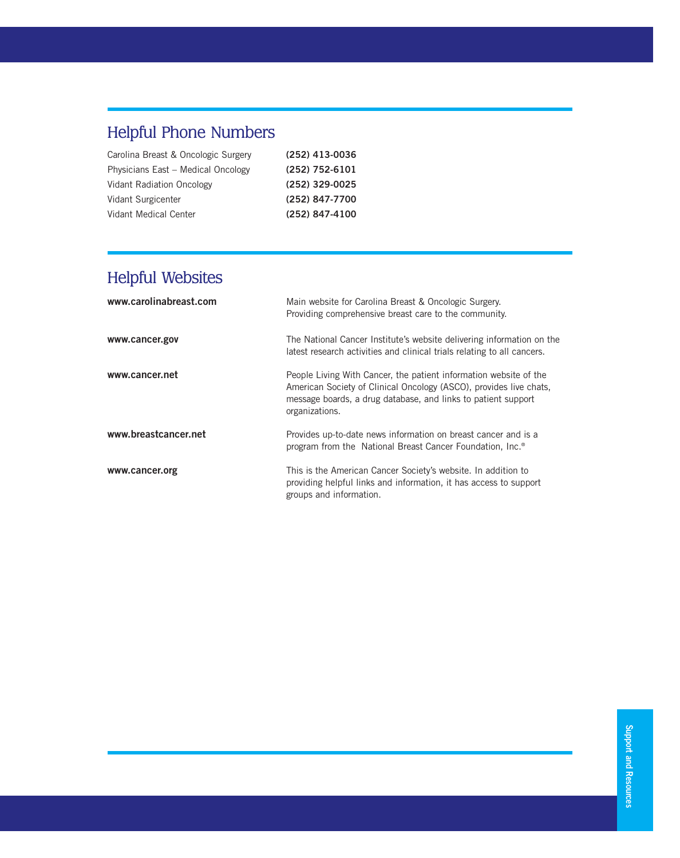# Helpful Phone Numbers

| Carolina Breast & Oncologic Surgery | (252) 413-0036 |
|-------------------------------------|----------------|
| Physicians East - Medical Oncology  | (252) 752-6101 |
| Vidant Radiation Oncology           | (252) 329-0025 |
| Vidant Surgicenter                  | (252) 847-7700 |
| Vidant Medical Center               | (252) 847-4100 |
|                                     |                |

# Helpful Websites

| www.carolinabreast.com | Main website for Carolina Breast & Oncologic Surgery.<br>Providing comprehensive breast care to the community.                                                                                                             |
|------------------------|----------------------------------------------------------------------------------------------------------------------------------------------------------------------------------------------------------------------------|
| www.cancer.gov         | The National Cancer Institute's website delivering information on the<br>latest research activities and clinical trials relating to all cancers.                                                                           |
| www.cancer.net         | People Living With Cancer, the patient information website of the<br>American Society of Clinical Oncology (ASCO), provides live chats,<br>message boards, a drug database, and links to patient support<br>organizations. |
| www.breastcancer.net   | Provides up-to-date news information on breast cancer and is a<br>program from the National Breast Cancer Foundation, Inc. <sup>®</sup>                                                                                    |
| www.cancer.org         | This is the American Cancer Society's website. In addition to<br>providing helpful links and information, it has access to support<br>groups and information.                                                              |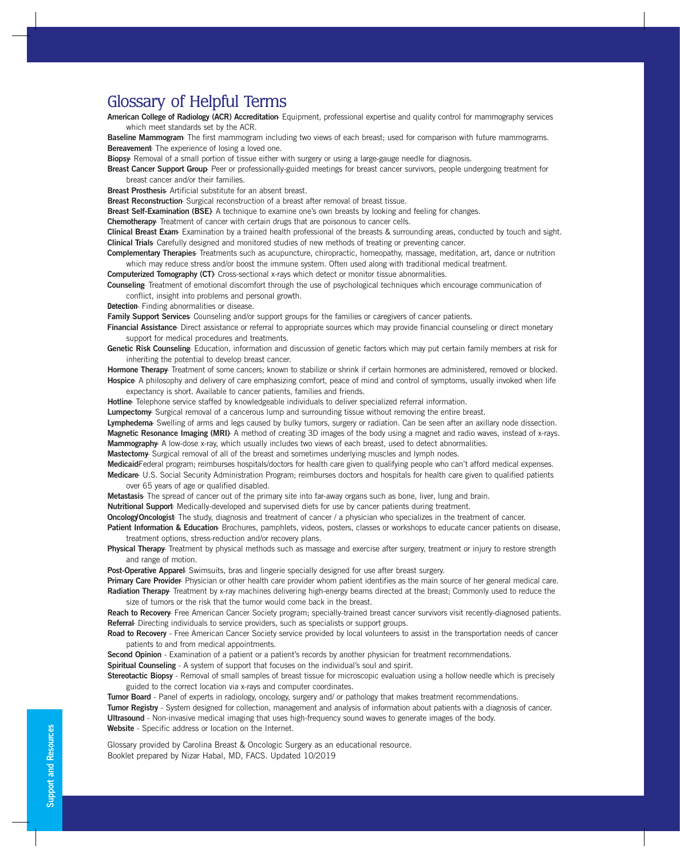## Glossary of Helpful Terms

**American College of Radiology (ACR) Accreditation**- Equipment, professional expertise and quality control for mammography services which meet standards set by the ACR.

**Baseline Mammogram**- The first mammogram including two views of each breast; used for comparison with future mammograms. **Bereavement**- The experience of losing a loved one.

**Biopsy**- Removal of a small portion of tissue either with surgery or using a large-gauge needle for diagnosis.

**Breast Cancer Support Group**- Peer or professionally-guided meetings for breast cancer survivors, people undergoing treatment for breast cancer and/or their families.

**Breast Prosthesis**- Artificial substitute for an absent breast.

**Breast Reconstruction**- Surgical reconstruction of a breast after removal of breast tissue.

**Breast Self-Examination (BSE)**- A technique to examine one's own breasts by looking and feeling for changes.

**Chemotherapy**- Treatment of cancer with certain drugs that are poisonous to cancer cells.

**Clinical Breast Exam**- Examination by a trained health professional of the breasts & surrounding areas, conducted by touch and sight. **Clinical Trials**- Carefully designed and monitored studies of new methods of treating or preventing cancer.

**Complementary Therapies**- Treatments such as acupuncture, chiropractic, homeopathy, massage, meditation, art, dance or nutrition which may reduce stress and/or boost the immune system. Often used along with traditional medical treatment.

**Computerized Tomography (CT)**- Cross-sectional x-rays which detect or monitor tissue abnormalities.

**Counseling**- Treatment of emotional discomfort through the use of psychological techniques which encourage communication of conflict, insight into problems and personal growth.

**Detection**- Finding abnormalities or disease.

**Family Support Services**- Counseling and/or support groups for the families or caregivers of cancer patients.

**Financial Assistance**- Direct assistance or referral to appropriate sources which may provide financial counseling or direct monetary support for medical procedures and treatments.

**Genetic Risk Counseling**- Education, information and discussion of genetic factors which may put certain family members at risk for inheriting the potential to develop breast cancer.

**Hormone Therapy**- Treatment of some cancers; known to stabilize or shrink if certain hormones are administered, removed or blocked. **Hospice**- A philosophy and delivery of care emphasizing comfort, peace of mind and control of symptoms, usually invoked when life

expectancy is short. Available to cancer patients, families and friends.

**Hotline**- Telephone service staffed by knowledgeable individuals to deliver specialized referral information.

**Lumpectomy**- Surgical removal of a cancerous lump and surrounding tissue without removing the entire breast.

**Lymphedema**- Swelling of arms and legs caused by bulky tumors, surgery or radiation. Can be seen after an axillary node dissection.

**Magnetic Resonance Imaging (MRI)**- A method of creating 3D images of the body using a magnet and radio waves, instead of x-rays. **Mammography**- A low-dose x-ray, which usually includes two views of each breast, used to detect abnormalities.

**Mastectomy**- Surgical removal of all of the breast and sometimes underlying muscles and lymph nodes.

**Medicaid**-Federal program; reimburses hospitals/doctors for health care given to qualifying people who can't afford medical expenses. **Medicare**- U.S. Social Security Administration Program; reimburses doctors and hospitals for health care given to qualified patients

over 65 years of age or qualified disabled.

**Metastasis**- The spread of cancer out of the primary site into far-away organs such as bone, liver, lung and brain.

**Nutritional Support**- Medically-developed and supervised diets for use by cancer patients during treatment.

**Oncology/Oncologist**- The study, diagnosis and treatment of cancer / a physician who specializes in the treatment of cancer.

Patient Information & Education- Brochures, pamphlets, videos, posters, classes or workshops to educate cancer patients on disease, treatment options, stress-reduction and/or recovery plans.

**Physical Therapy**- Treatment by physical methods such as massage and exercise after surgery, treatment or injury to restore strength and range of motion.

Post-Operative Apparel- Swimsuits, bras and lingerie specially designed for use after breast surgery.

**Primary Care Provider**- Physician or other health care provider whom patient identifies as the main source of her general medical care. Radiation Therapy- Treatment by x-ray machines delivering high-energy beams directed at the breast; Commonly used to reduce the size of tumors or the risk that the tumor would come back in the breast.

**Reach to Recovery**- Free American Cancer Society program; specially-trained breast cancer survivors visit recently-diagnosed patients. **Referral**- Directing individuals to service providers, such as specialists or support groups.

**Road to Recovery** - Free American Cancer Society service provided by local volunteers to assist in the transportation needs of cancer patients to and from medical appointments.

**Second Opinion** - Examination of a patient or a patient's records by another physician for treatment recommendations.

**Spiritual Counseling** - A system of support that focuses on the individual's soul and spirit.

**Stereotactic Biopsy** - Removal of small samples of breast tissue for microscopic evaluation using a hollow needle which is precisely guided to the correct location via x-rays and computer coordinates.

**Tumor Board** - Panel of experts in radiology, oncology, surgery and/ or pathology that makes treatment recommendations. **Tumor Registry** - System designed for collection, management and analysis of information about patients with a diagnosis of cancer. **Ultrasound** - Non-invasive medical imaging that uses high-frequency sound waves to generate images of the body. **Website** - Specific address or location on the Internet.

Glossary provided by Carolina Breast & Oncologic Surgery as an educational resource. Booklet prepared by Nizar Habal, MD, FACS. Updated 10/2019